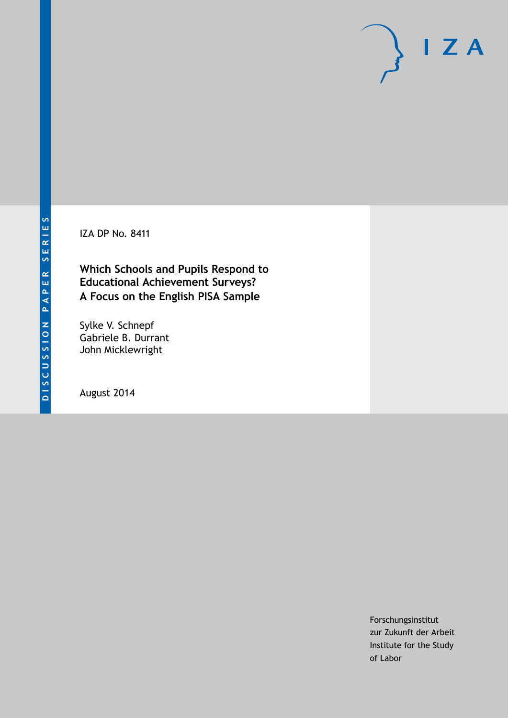IZA DP No. 8411

**Which Schools and Pupils Respond to Educational Achievement Surveys? A Focus on the English PISA Sample**

Sylke V. Schnepf Gabriele B. Durrant John Micklewright

August 2014

Forschungsinstitut zur Zukunft der Arbeit Institute for the Study of Labor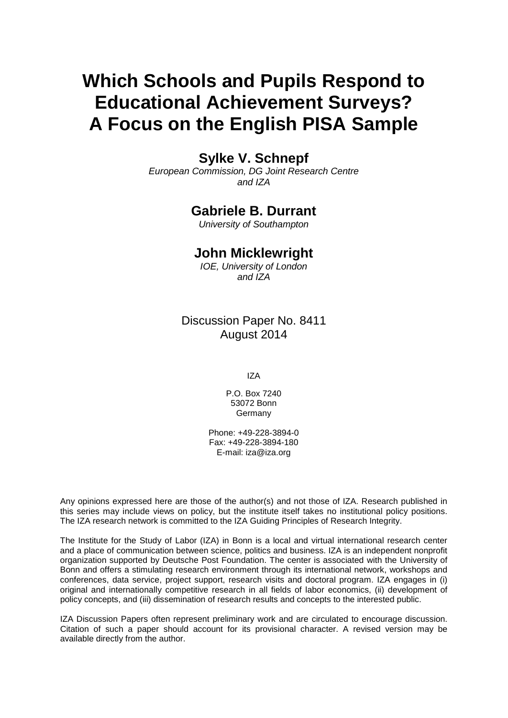# **Which Schools and Pupils Respond to Educational Achievement Surveys? A Focus on the English PISA Sample**

# **Sylke V. Schnepf**

*European Commission, DG Joint Research Centre and IZA*

### **Gabriele B. Durrant**

*University of Southampton*

### **John Micklewright**

*IOE, University of London and IZA*

## Discussion Paper No. 8411 August 2014

IZA

P.O. Box 7240 53072 Bonn Germany

Phone: +49-228-3894-0 Fax: +49-228-3894-180 E-mail: [iza@iza.org](mailto:iza@iza.org)

Any opinions expressed here are those of the author(s) and not those of IZA. Research published in this series may include views on policy, but the institute itself takes no institutional policy positions. The IZA research network is committed to the IZA Guiding Principles of Research Integrity.

The Institute for the Study of Labor (IZA) in Bonn is a local and virtual international research center and a place of communication between science, politics and business. IZA is an independent nonprofit organization supported by Deutsche Post Foundation. The center is associated with the University of Bonn and offers a stimulating research environment through its international network, workshops and conferences, data service, project support, research visits and doctoral program. IZA engages in (i) original and internationally competitive research in all fields of labor economics, (ii) development of policy concepts, and (iii) dissemination of research results and concepts to the interested public.

IZA Discussion Papers often represent preliminary work and are circulated to encourage discussion. Citation of such a paper should account for its provisional character. A revised version may be available directly from the author.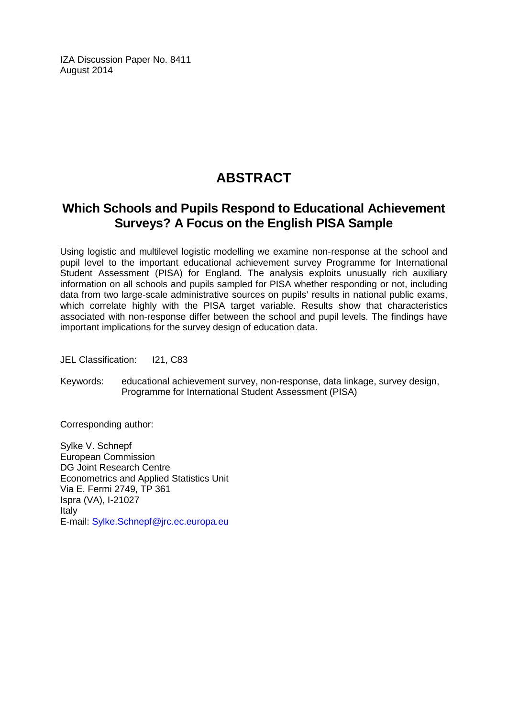IZA Discussion Paper No. 8411 August 2014

# **ABSTRACT**

# **Which Schools and Pupils Respond to Educational Achievement Surveys? A Focus on the English PISA Sample**

Using logistic and multilevel logistic modelling we examine non-response at the school and pupil level to the important educational achievement survey Programme for International Student Assessment (PISA) for England. The analysis exploits unusually rich auxiliary information on all schools and pupils sampled for PISA whether responding or not, including data from two large-scale administrative sources on pupils' results in national public exams, which correlate highly with the PISA target variable. Results show that characteristics associated with non-response differ between the school and pupil levels. The findings have important implications for the survey design of education data.

JEL Classification: I21, C83

Keywords: educational achievement survey, non-response, data linkage, survey design, Programme for International Student Assessment (PISA)

Corresponding author:

Sylke V. Schnepf European Commission DG Joint Research Centre Econometrics and Applied Statistics Unit Via E. Fermi 2749, TP 361 Ispra (VA), I-21027 Italy E-mail: [Sylke.Schnepf@jrc.ec.europa.eu](mailto:Sylke.Schnepf@jrc.ec.europa.eu)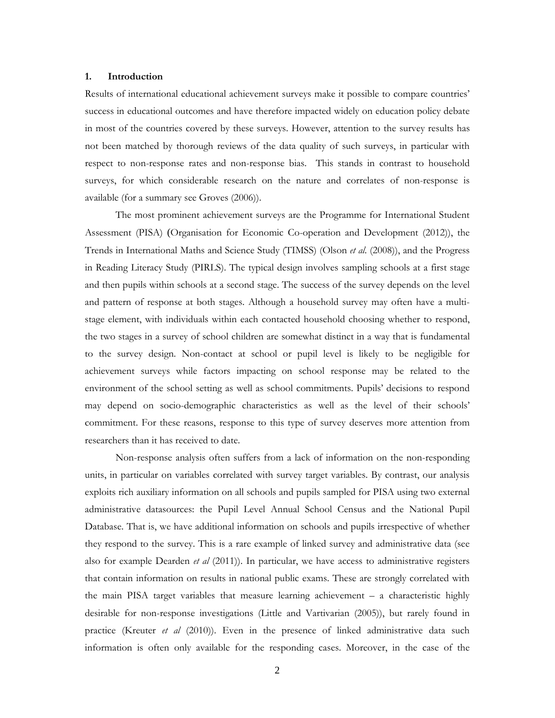#### **1. Introduction**

Results of international educational achievement surveys make it possible to compare countries' success in educational outcomes and have therefore impacted widely on education policy debate in most of the countries covered by these surveys. However, attention to the survey results has not been matched by thorough reviews of the data quality of such surveys, in particular with respect to non-response rates and non-response bias. This stands in contrast to household surveys, for which considerable research on the nature and correlates of non-response is available (for a summary see Groves (2006)).

The most prominent achievement surveys are the Programme for International Student Assessment (PISA) (Organisation for Economic Co-operation and Development (2012)), the Trends in International Maths and Science Study (TIMSS) (Olson *et al*. (2008)), and the Progress in Reading Literacy Study (PIRLS). The typical design involves sampling schools at a first stage and then pupils within schools at a second stage. The success of the survey depends on the level and pattern of response at both stages. Although a household survey may often have a multistage element, with individuals within each contacted household choosing whether to respond, the two stages in a survey of school children are somewhat distinct in a way that is fundamental to the survey design. Non-contact at school or pupil level is likely to be negligible for achievement surveys while factors impacting on school response may be related to the environment of the school setting as well as school commitments. Pupils' decisions to respond may depend on socio-demographic characteristics as well as the level of their schools' commitment. For these reasons, response to this type of survey deserves more attention from researchers than it has received to date.

Non-response analysis often suffers from a lack of information on the non-responding units, in particular on variables correlated with survey target variables. By contrast, our analysis exploits rich auxiliary information on all schools and pupils sampled for PISA using two external administrative datasources: the Pupil Level Annual School Census and the National Pupil Database. That is, we have additional information on schools and pupils irrespective of whether they respond to the survey. This is a rare example of linked survey and administrative data (see also for example Dearden *et al* (2011)). In particular, we have access to administrative registers that contain information on results in national public exams. These are strongly correlated with the main PISA target variables that measure learning achievement – a characteristic highly desirable for non-response investigations (Little and Vartivarian (2005)), but rarely found in practice (Kreuter *et al* (2010)). Even in the presence of linked administrative data such information is often only available for the responding cases. Moreover, in the case of the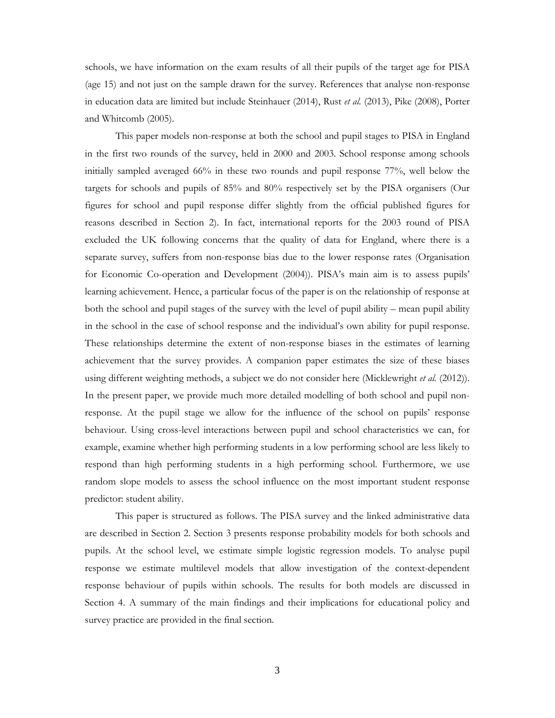schools, we have information on the exam results of all their pupils of the target age for PISA (age 15) and not just on the sample drawn for the survey. References that analyse non-response in education data are limited but include Steinhauer (2014), Rust *et al.* (2013), Pike (2008), Porter and Whitcomb (2005).

This paper models non-response at both the school and pupil stages to PISA in England in the first two rounds of the survey, held in 2000 and 2003. School response among schools initially sampled averaged 66% in these two rounds and pupil response 77%, well below the targets for schools and pupils of 85% and 80% respectively set by the PISA organisers (Our figures for school and pupil response differ slightly from the official published figures for reasons described in Section 2). In fact, international reports for the 2003 round of PISA excluded the UK following concerns that the quality of data for England, where there is a separate survey, suffers from non-response bias due to the lower response rates (Organisation for Economic Co-operation and Development (2004)). PISA's main aim is to assess pupils' learning achievement. Hence, a particular focus of the paper is on the relationship of response at both the school and pupil stages of the survey with the level of pupil ability – mean pupil ability in the school in the case of school response and the individual's own ability for pupil response. These relationships determine the extent of non-response biases in the estimates of learning achievement that the survey provides. A companion paper estimates the size of these biases using different weighting methods, a subject we do not consider here (Micklewright *et al.* (2012)). In the present paper, we provide much more detailed modelling of both school and pupil nonresponse. At the pupil stage we allow for the influence of the school on pupils' response behaviour. Using cross-level interactions between pupil and school characteristics we can, for example, examine whether high performing students in a low performing school are less likely to respond than high performing students in a high performing school. Furthermore, we use random slope models to assess the school influence on the most important student response predictor: student ability.

This paper is structured as follows. The PISA survey and the linked administrative data are described in Section 2. Section 3 presents response probability models for both schools and pupils. At the school level, we estimate simple logistic regression models. To analyse pupil response we estimate multilevel models that allow investigation of the context-dependent response behaviour of pupils within schools. The results for both models are discussed in Section 4. A summary of the main findings and their implications for educational policy and survey practice are provided in the final section.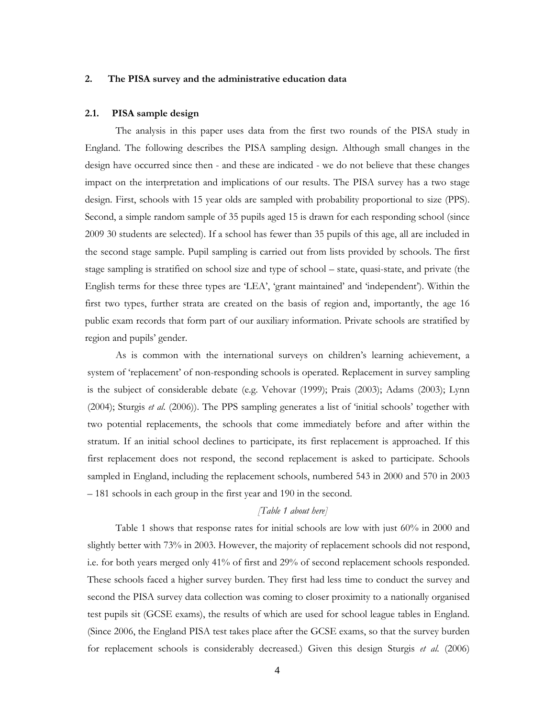#### **2. The PISA survey and the administrative education data**

#### **2.1. PISA sample design**

The analysis in this paper uses data from the first two rounds of the PISA study in England. The following describes the PISA sampling design. Although small changes in the design have occurred since then - and these are indicated - we do not believe that these changes impact on the interpretation and implications of our results. The PISA survey has a two stage design. First, schools with 15 year olds are sampled with probability proportional to size (PPS). Second, a simple random sample of 35 pupils aged 15 is drawn for each responding school (since 2009 30 students are selected). If a school has fewer than 35 pupils of this age, all are included in the second stage sample. Pupil sampling is carried out from lists provided by schools. The first stage sampling is stratified on school size and type of school – state, quasi-state, and private (the English terms for these three types are 'LEA', 'grant maintained' and 'independent'). Within the first two types, further strata are created on the basis of region and, importantly, the age 16 public exam records that form part of our auxiliary information. Private schools are stratified by region and pupils' gender.

As is common with the international surveys on children's learning achievement, a system of 'replacement' of non-responding schools is operated. Replacement in survey sampling is the subject of considerable debate (e.g. Vehovar (1999); Prais (2003); Adams (2003); Lynn (2004); Sturgis *et al*. (2006)). The PPS sampling generates a list of 'initial schools' together with two potential replacements, the schools that come immediately before and after within the stratum. If an initial school declines to participate, its first replacement is approached. If this first replacement does not respond, the second replacement is asked to participate. Schools sampled in England, including the replacement schools, numbered 543 in 2000 and 570 in 2003 – 181 schools in each group in the first year and 190 in the second.

#### *[Table 1 about here]*

Table 1 shows that response rates for initial schools are low with just 60% in 2000 and slightly better with 73% in 2003. However, the majority of replacement schools did not respond, i.e. for both years merged only 41% of first and 29% of second replacement schools responded. These schools faced a higher survey burden. They first had less time to conduct the survey and second the PISA survey data collection was coming to closer proximity to a nationally organised test pupils sit (GCSE exams), the results of which are used for school league tables in England. (Since 2006, the England PISA test takes place after the GCSE exams, so that the survey burden for replacement schools is considerably decreased.) Given this design Sturgis *et al.* (2006)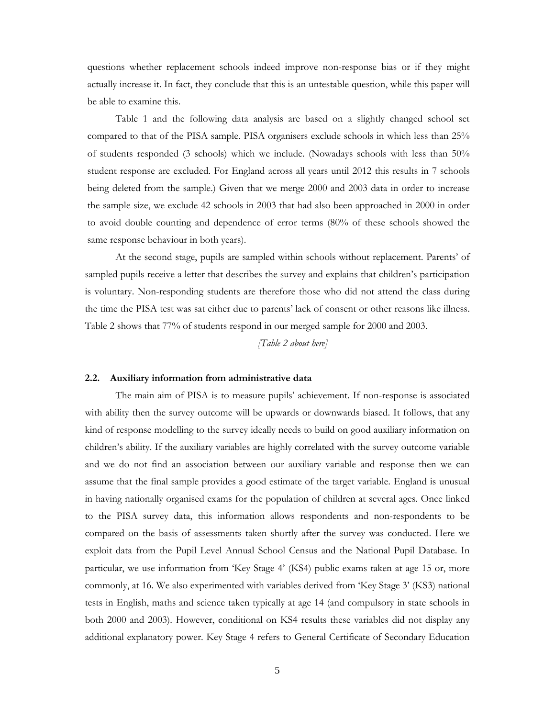questions whether replacement schools indeed improve non-response bias or if they might actually increase it. In fact, they conclude that this is an untestable question, while this paper will be able to examine this.

Table 1 and the following data analysis are based on a slightly changed school set compared to that of the PISA sample. PISA organisers exclude schools in which less than 25% of students responded (3 schools) which we include. (Nowadays schools with less than 50% student response are excluded. For England across all years until 2012 this results in 7 schools being deleted from the sample.) Given that we merge 2000 and 2003 data in order to increase the sample size, we exclude 42 schools in 2003 that had also been approached in 2000 in order to avoid double counting and dependence of error terms (80% of these schools showed the same response behaviour in both years).

 At the second stage, pupils are sampled within schools without replacement. Parents' of sampled pupils receive a letter that describes the survey and explains that children's participation is voluntary. Non-responding students are therefore those who did not attend the class during the time the PISA test was sat either due to parents' lack of consent or other reasons like illness. Table 2 shows that 77% of students respond in our merged sample for 2000 and 2003.

*[Table 2 about here]* 

#### **2.2. Auxiliary information from administrative data**

The main aim of PISA is to measure pupils' achievement. If non-response is associated with ability then the survey outcome will be upwards or downwards biased. It follows, that any kind of response modelling to the survey ideally needs to build on good auxiliary information on children's ability. If the auxiliary variables are highly correlated with the survey outcome variable and we do not find an association between our auxiliary variable and response then we can assume that the final sample provides a good estimate of the target variable. England is unusual in having nationally organised exams for the population of children at several ages. Once linked to the PISA survey data, this information allows respondents and non-respondents to be compared on the basis of assessments taken shortly after the survey was conducted. Here we exploit data from the Pupil Level Annual School Census and the National Pupil Database. In particular, we use information from 'Key Stage 4' (KS4) public exams taken at age 15 or, more commonly, at 16. We also experimented with variables derived from 'Key Stage 3' (KS3) national tests in English, maths and science taken typically at age 14 (and compulsory in state schools in both 2000 and 2003). However, conditional on KS4 results these variables did not display any additional explanatory power. Key Stage 4 refers to General Certificate of Secondary Education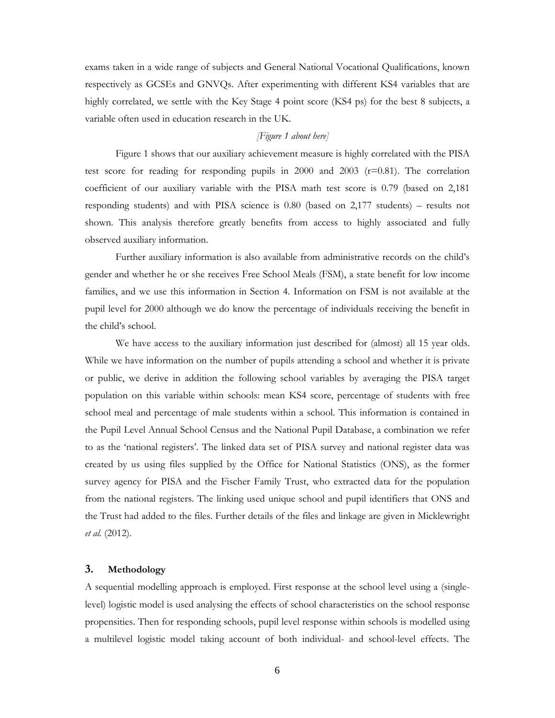exams taken in a wide range of subjects and General National Vocational Qualifications, known respectively as GCSEs and GNVQs. After experimenting with different KS4 variables that are highly correlated, we settle with the Key Stage 4 point score (KS4 ps) for the best 8 subjects, a variable often used in education research in the UK.

#### *[Figure 1 about here]*

Figure 1 shows that our auxiliary achievement measure is highly correlated with the PISA test score for reading for responding pupils in 2000 and 2003  $(r=0.81)$ . The correlation coefficient of our auxiliary variable with the PISA math test score is 0.79 (based on 2,181 responding students) and with PISA science is 0.80 (based on 2,177 students) – results not shown. This analysis therefore greatly benefits from access to highly associated and fully observed auxiliary information.

Further auxiliary information is also available from administrative records on the child's gender and whether he or she receives Free School Meals (FSM), a state benefit for low income families, and we use this information in Section 4. Information on FSM is not available at the pupil level for 2000 although we do know the percentage of individuals receiving the benefit in the child's school.

We have access to the auxiliary information just described for (almost) all 15 year olds. While we have information on the number of pupils attending a school and whether it is private or public, we derive in addition the following school variables by averaging the PISA target population on this variable within schools: mean KS4 score, percentage of students with free school meal and percentage of male students within a school. This information is contained in the Pupil Level Annual School Census and the National Pupil Database, a combination we refer to as the 'national registers'. The linked data set of PISA survey and national register data was created by us using files supplied by the Office for National Statistics (ONS), as the former survey agency for PISA and the Fischer Family Trust, who extracted data for the population from the national registers. The linking used unique school and pupil identifiers that ONS and the Trust had added to the files. Further details of the files and linkage are given in Micklewright *et al.* (2012).

#### **3. Methodology**

A sequential modelling approach is employed. First response at the school level using a (singlelevel) logistic model is used analysing the effects of school characteristics on the school response propensities. Then for responding schools, pupil level response within schools is modelled using a multilevel logistic model taking account of both individual- and school-level effects. The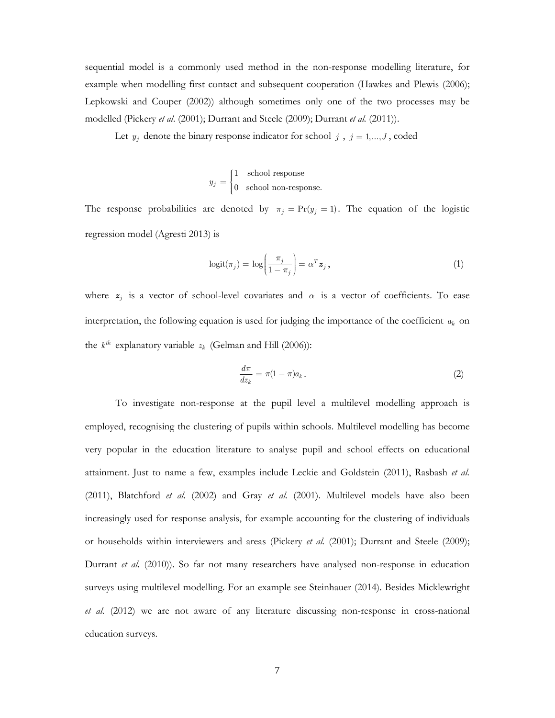sequential model is a commonly used method in the non-response modelling literature, for example when modelling first contact and subsequent cooperation (Hawkes and Plewis (2006); Lepkowski and Couper (2002)) although sometimes only one of the two processes may be modelled (Pickery *et al*. (2001); Durrant and Steele (2009); Durrant *et al.* (2011)).

Let  $y_j$  denote the binary response indicator for school  $j$ ,  $j = 1,...,J$ , coded

$$
y_j = \begin{cases} 1 & \text{school response} \\ 0 & \text{school non-response.} \end{cases}
$$

The response probabilities are denoted by  $\pi_j = Pr(y_j = 1)$ . The equation of the logistic regression model (Agresti 2013) is

$$
logit(\pi_j) = log\left(\frac{\pi_j}{1 - \pi_j}\right) = \alpha^T \mathbf{z}_j,
$$
\n(1)

where  $z_j$  is a vector of school-level covariates and  $\alpha$  is a vector of coefficients. To ease interpretation, the following equation is used for judging the importance of the coefficient  $a_k$  on the  $k^{th}$  explanatory variable  $z_k$  (Gelman and Hill (2006)):

$$
\frac{d\pi}{dz_k} = \pi (1 - \pi) a_k \,. \tag{2}
$$

To investigate non-response at the pupil level a multilevel modelling approach is employed, recognising the clustering of pupils within schools. Multilevel modelling has become very popular in the education literature to analyse pupil and school effects on educational attainment. Just to name a few, examples include Leckie and Goldstein (2011), Rasbash *et al.* (2011), Blatchford *et al.* (2002) and Gray *et al.* (2001). Multilevel models have also been increasingly used for response analysis, for example accounting for the clustering of individuals or households within interviewers and areas (Pickery *et al.* (2001); Durrant and Steele (2009); Durrant *et al.* (2010)). So far not many researchers have analysed non-response in education surveys using multilevel modelling. For an example see Steinhauer (2014). Besides Micklewright *et al.* (2012) we are not aware of any literature discussing non-response in cross-national education surveys.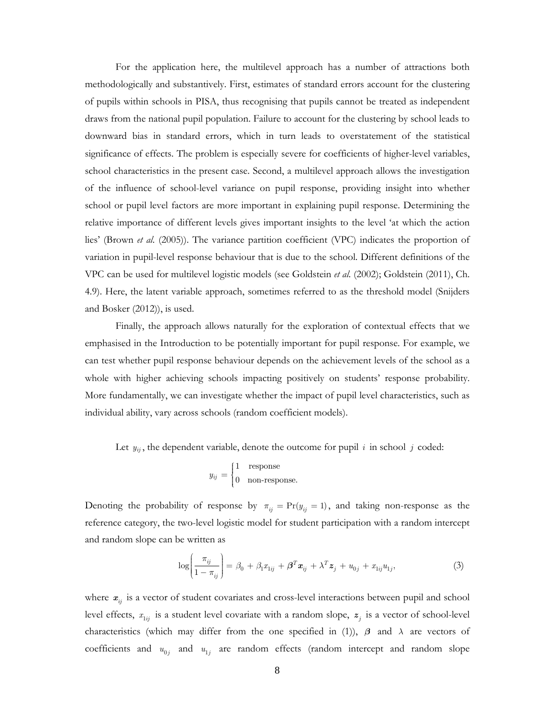For the application here, the multilevel approach has a number of attractions both methodologically and substantively. First, estimates of standard errors account for the clustering of pupils within schools in PISA, thus recognising that pupils cannot be treated as independent draws from the national pupil population. Failure to account for the clustering by school leads to downward bias in standard errors, which in turn leads to overstatement of the statistical significance of effects. The problem is especially severe for coefficients of higher-level variables, school characteristics in the present case. Second, a multilevel approach allows the investigation of the influence of school-level variance on pupil response, providing insight into whether school or pupil level factors are more important in explaining pupil response. Determining the relative importance of different levels gives important insights to the level 'at which the action lies' (Brown *et al*. (2005)). The variance partition coefficient (VPC) indicates the proportion of variation in pupil-level response behaviour that is due to the school. Different definitions of the VPC can be used for multilevel logistic models (see Goldstein *et al*. (2002); Goldstein (2011), Ch. 4.9). Here, the latent variable approach, sometimes referred to as the threshold model (Snijders and Bosker (2012)), is used.

 Finally, the approach allows naturally for the exploration of contextual effects that we emphasised in the Introduction to be potentially important for pupil response. For example, we can test whether pupil response behaviour depends on the achievement levels of the school as a whole with higher achieving schools impacting positively on students' response probability. More fundamentally, we can investigate whether the impact of pupil level characteristics, such as individual ability, vary across schools (random coefficient models).

Let  $y_{ij}$ , the dependent variable, denote the outcome for pupil  $i$  in school  $j$  coded:

$$
y_{ij} = \begin{cases} 1 & \text{response} \\ 0 & \text{non-response.} \end{cases}
$$

Denoting the probability of response by  $\pi_{ij} = \Pr(y_{ij} = 1)$ , and taking non-response as the reference category, the two-level logistic model for student participation with a random intercept and random slope can be written as

$$
\log\left(\frac{\pi_{ij}}{1-\pi_{ij}}\right) = \beta_0 + \beta_1 x_{1ij} + \boldsymbol{\beta}^T \boldsymbol{x}_{ij} + \lambda^T \boldsymbol{z}_j + u_{0j} + x_{1ij} u_{1j},\tag{3}
$$

where  $x_{ij}$  is a vector of student covariates and cross-level interactions between pupil and school level effects,  $x_{1ij}$  is a student level covariate with a random slope,  $z_j$  is a vector of school-level characteristics (which may differ from the one specified in (1)), *β* and *λ* are vectors of coefficients and  $u_{0j}$  and  $u_{1j}$  are random effects (random intercept and random slope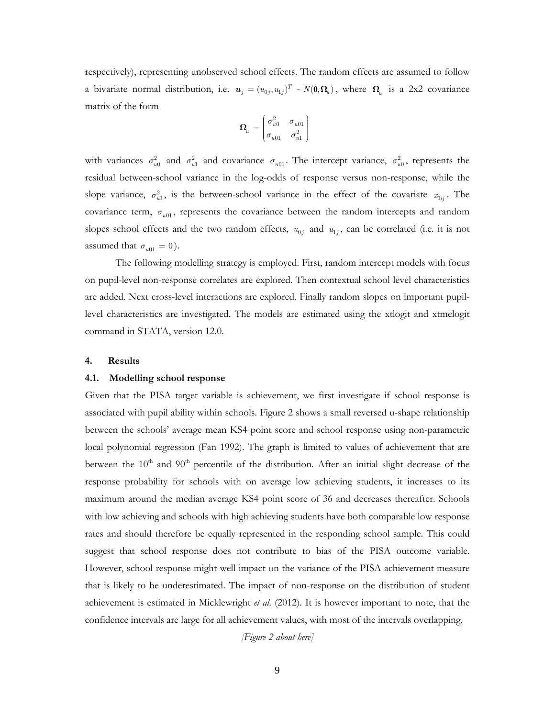respectively), representing unobserved school effects. The random effects are assumed to follow a bivariate normal distribution, i.e.  $u_j = (u_{0j}, u_{1j})^T \sim N(0, \Omega_u)$ , where  $\Omega_u$  is a 2x2 covariance matrix of the form

$$
\pmb{\Omega}_{\!u} = \begin{pmatrix} \sigma_{u0}^2 & \sigma_{u01} \\ \sigma_{u01} & \sigma_{u1}^2 \end{pmatrix}
$$

with variances  $\sigma_{u0}^2$  and  $\sigma_{u1}^2$  and covariance  $\sigma_{u01}$ . The intercept variance,  $\sigma_{u0}^2$ , represents the residual between-school variance in the log-odds of response versus non-response, while the slope variance,  $\sigma_{u1}^2$ , is the between-school variance in the effect of the covariate  $x_{1ij}$ . The covariance term,  $\sigma_{u01}$ , represents the covariance between the random intercepts and random slopes school effects and the two random effects,  $u_{0i}$  and  $u_{1i}$ , can be correlated (i.e. it is not assumed that  $\sigma_{u01} = 0$ ).

The following modelling strategy is employed. First, random intercept models with focus on pupil-level non-response correlates are explored. Then contextual school level characteristics are added. Next cross-level interactions are explored. Finally random slopes on important pupillevel characteristics are investigated. The models are estimated using the xtlogit and xtmelogit command in STATA, version 12.0.

#### **4. Results**

#### **4.1. Modelling school response**

Given that the PISA target variable is achievement, we first investigate if school response is associated with pupil ability within schools. Figure 2 shows a small reversed u-shape relationship between the schools' average mean KS4 point score and school response using non-parametric local polynomial regression (Fan 1992). The graph is limited to values of achievement that are between the 10<sup>th</sup> and 90<sup>th</sup> percentile of the distribution. After an initial slight decrease of the response probability for schools with on average low achieving students, it increases to its maximum around the median average KS4 point score of 36 and decreases thereafter. Schools with low achieving and schools with high achieving students have both comparable low response rates and should therefore be equally represented in the responding school sample. This could suggest that school response does not contribute to bias of the PISA outcome variable. However, school response might well impact on the variance of the PISA achievement measure that is likely to be underestimated. The impact of non-response on the distribution of student achievement is estimated in Micklewright *et al*. (2012). It is however important to note, that the confidence intervals are large for all achievement values, with most of the intervals overlapping.

*[Figure 2 about here]*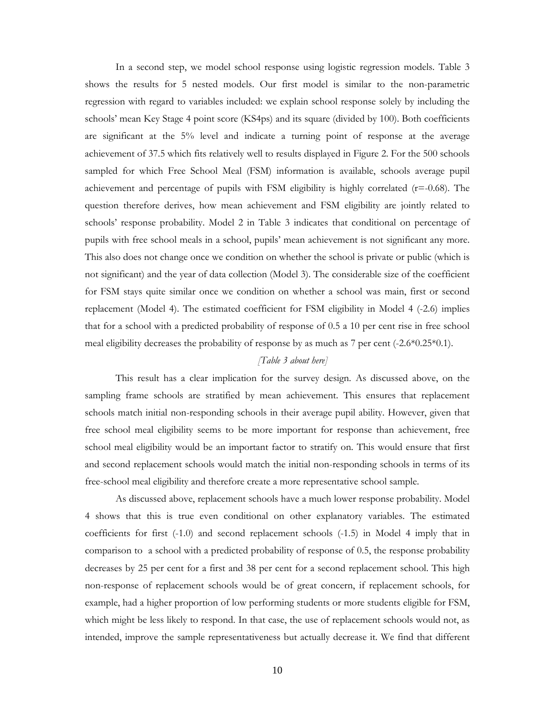In a second step, we model school response using logistic regression models. Table 3 shows the results for 5 nested models. Our first model is similar to the non-parametric regression with regard to variables included: we explain school response solely by including the schools' mean Key Stage 4 point score (KS4ps) and its square (divided by 100). Both coefficients are significant at the 5% level and indicate a turning point of response at the average achievement of 37.5 which fits relatively well to results displayed in Figure 2. For the 500 schools sampled for which Free School Meal (FSM) information is available, schools average pupil achievement and percentage of pupils with FSM eligibility is highly correlated  $(r=-0.68)$ . The question therefore derives, how mean achievement and FSM eligibility are jointly related to schools' response probability. Model 2 in Table 3 indicates that conditional on percentage of pupils with free school meals in a school, pupils' mean achievement is not significant any more. This also does not change once we condition on whether the school is private or public (which is not significant) and the year of data collection (Model 3). The considerable size of the coefficient for FSM stays quite similar once we condition on whether a school was main, first or second replacement (Model 4). The estimated coefficient for FSM eligibility in Model 4 (-2.6) implies that for a school with a predicted probability of response of 0.5 a 10 per cent rise in free school meal eligibility decreases the probability of response by as much as 7 per cent (-2.6\*0.25\*0.1).

#### *[Table 3 about here]*

This result has a clear implication for the survey design. As discussed above, on the sampling frame schools are stratified by mean achievement. This ensures that replacement schools match initial non-responding schools in their average pupil ability. However, given that free school meal eligibility seems to be more important for response than achievement, free school meal eligibility would be an important factor to stratify on. This would ensure that first and second replacement schools would match the initial non-responding schools in terms of its free-school meal eligibility and therefore create a more representative school sample.

As discussed above, replacement schools have a much lower response probability. Model 4 shows that this is true even conditional on other explanatory variables. The estimated coefficients for first (-1.0) and second replacement schools (-1.5) in Model 4 imply that in comparison to a school with a predicted probability of response of 0.5, the response probability decreases by 25 per cent for a first and 38 per cent for a second replacement school. This high non-response of replacement schools would be of great concern, if replacement schools, for example, had a higher proportion of low performing students or more students eligible for FSM, which might be less likely to respond. In that case, the use of replacement schools would not, as intended, improve the sample representativeness but actually decrease it. We find that different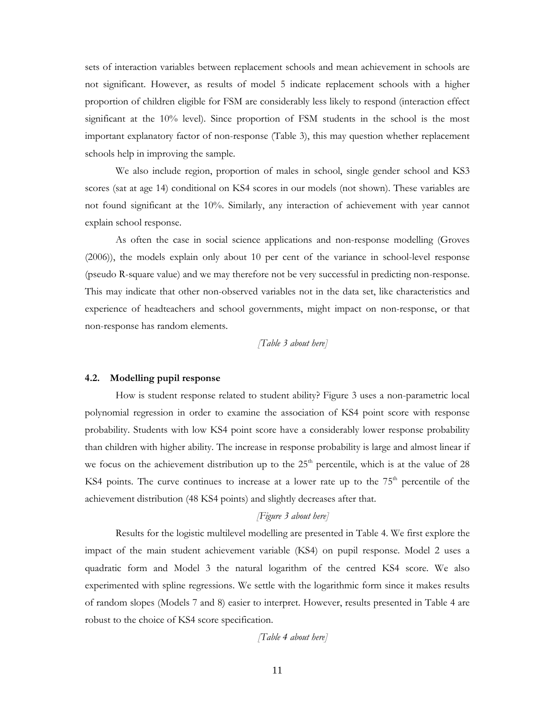sets of interaction variables between replacement schools and mean achievement in schools are not significant. However, as results of model 5 indicate replacement schools with a higher proportion of children eligible for FSM are considerably less likely to respond (interaction effect significant at the 10% level). Since proportion of FSM students in the school is the most important explanatory factor of non-response (Table 3), this may question whether replacement schools help in improving the sample.

We also include region, proportion of males in school, single gender school and KS3 scores (sat at age 14) conditional on KS4 scores in our models (not shown). These variables are not found significant at the 10%. Similarly, any interaction of achievement with year cannot explain school response.

As often the case in social science applications and non-response modelling (Groves (2006)), the models explain only about 10 per cent of the variance in school-level response (pseudo R-square value) and we may therefore not be very successful in predicting non-response. This may indicate that other non-observed variables not in the data set, like characteristics and experience of headteachers and school governments, might impact on non-response, or that non-response has random elements.

*[Table 3 about here]* 

#### **4.2. Modelling pupil response**

How is student response related to student ability? Figure 3 uses a non-parametric local polynomial regression in order to examine the association of KS4 point score with response probability. Students with low KS4 point score have a considerably lower response probability than children with higher ability. The increase in response probability is large and almost linear if we focus on the achievement distribution up to the  $25<sup>th</sup>$  percentile, which is at the value of 28 KS4 points. The curve continues to increase at a lower rate up to the  $75<sup>th</sup>$  percentile of the achievement distribution (48 KS4 points) and slightly decreases after that.

#### *[Figure 3 about here]*

Results for the logistic multilevel modelling are presented in Table 4. We first explore the impact of the main student achievement variable (KS4) on pupil response. Model 2 uses a quadratic form and Model 3 the natural logarithm of the centred KS4 score. We also experimented with spline regressions. We settle with the logarithmic form since it makes results of random slopes (Models 7 and 8) easier to interpret. However, results presented in Table 4 are robust to the choice of KS4 score specification.

*[Table 4 about here]*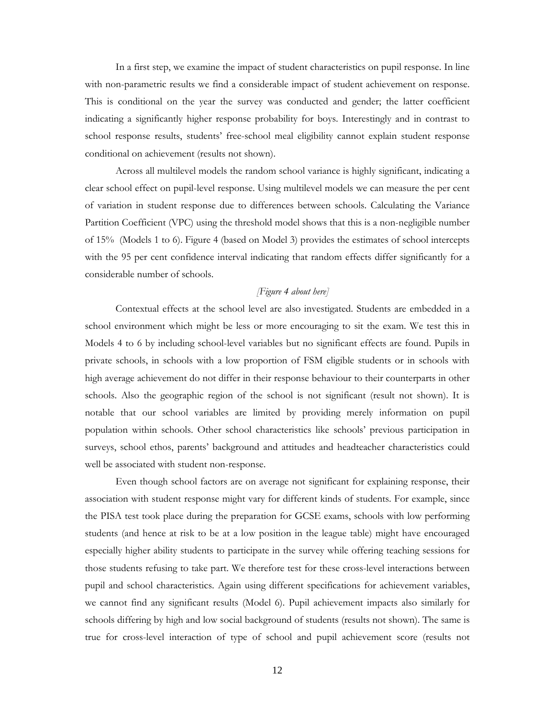In a first step, we examine the impact of student characteristics on pupil response. In line with non-parametric results we find a considerable impact of student achievement on response. This is conditional on the year the survey was conducted and gender; the latter coefficient indicating a significantly higher response probability for boys. Interestingly and in contrast to school response results, students' free-school meal eligibility cannot explain student response conditional on achievement (results not shown).

Across all multilevel models the random school variance is highly significant, indicating a clear school effect on pupil-level response. Using multilevel models we can measure the per cent of variation in student response due to differences between schools. Calculating the Variance Partition Coefficient (VPC) using the threshold model shows that this is a non-negligible number of 15% (Models 1 to 6). Figure 4 (based on Model 3) provides the estimates of school intercepts with the 95 per cent confidence interval indicating that random effects differ significantly for a considerable number of schools.

#### *[Figure 4 about here]*

Contextual effects at the school level are also investigated. Students are embedded in a school environment which might be less or more encouraging to sit the exam. We test this in Models 4 to 6 by including school-level variables but no significant effects are found. Pupils in private schools, in schools with a low proportion of FSM eligible students or in schools with high average achievement do not differ in their response behaviour to their counterparts in other schools. Also the geographic region of the school is not significant (result not shown). It is notable that our school variables are limited by providing merely information on pupil population within schools. Other school characteristics like schools' previous participation in surveys, school ethos, parents' background and attitudes and headteacher characteristics could well be associated with student non-response.

Even though school factors are on average not significant for explaining response, their association with student response might vary for different kinds of students. For example, since the PISA test took place during the preparation for GCSE exams, schools with low performing students (and hence at risk to be at a low position in the league table) might have encouraged especially higher ability students to participate in the survey while offering teaching sessions for those students refusing to take part. We therefore test for these cross-level interactions between pupil and school characteristics. Again using different specifications for achievement variables, we cannot find any significant results (Model 6). Pupil achievement impacts also similarly for schools differing by high and low social background of students (results not shown). The same is true for cross-level interaction of type of school and pupil achievement score (results not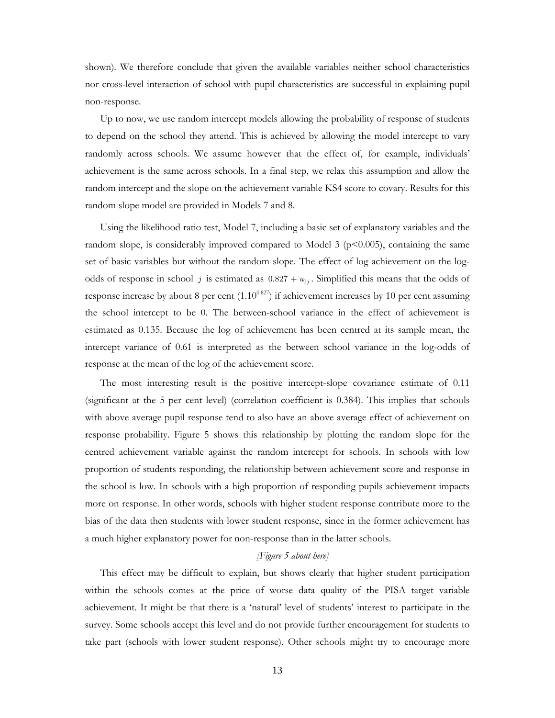shown). We therefore conclude that given the available variables neither school characteristics nor cross-level interaction of school with pupil characteristics are successful in explaining pupil non-response.

Up to now, we use random intercept models allowing the probability of response of students to depend on the school they attend. This is achieved by allowing the model intercept to vary randomly across schools. We assume however that the effect of, for example, individuals' achievement is the same across schools. In a final step, we relax this assumption and allow the random intercept and the slope on the achievement variable KS4 score to covary. Results for this random slope model are provided in Models 7 and 8.

Using the likelihood ratio test, Model 7, including a basic set of explanatory variables and the random slope, is considerably improved compared to Model 3 ( $p \le 0.005$ ), containing the same set of basic variables but without the random slope. The effect of log achievement on the logodds of response in school *j* is estimated as  $0.827 + u_{1j}$ . Simplified this means that the odds of response increase by about 8 per cent  $(1.10^{0.827})$  if achievement increases by 10 per cent assuming the school intercept to be 0. The between-school variance in the effect of achievement is estimated as 0.135. Because the log of achievement has been centred at its sample mean, the intercept variance of 0.61 is interpreted as the between school variance in the log-odds of response at the mean of the log of the achievement score.

The most interesting result is the positive intercept-slope covariance estimate of 0.11 (significant at the 5 per cent level) (correlation coefficient is 0.384). This implies that schools with above average pupil response tend to also have an above average effect of achievement on response probability. Figure 5 shows this relationship by plotting the random slope for the centred achievement variable against the random intercept for schools. In schools with low proportion of students responding, the relationship between achievement score and response in the school is low. In schools with a high proportion of responding pupils achievement impacts more on response. In other words, schools with higher student response contribute more to the bias of the data then students with lower student response, since in the former achievement has a much higher explanatory power for non-response than in the latter schools.

#### *[Figure 5 about here]*

This effect may be difficult to explain, but shows clearly that higher student participation within the schools comes at the price of worse data quality of the PISA target variable achievement. It might be that there is a 'natural' level of students' interest to participate in the survey. Some schools accept this level and do not provide further encouragement for students to take part (schools with lower student response). Other schools might try to encourage more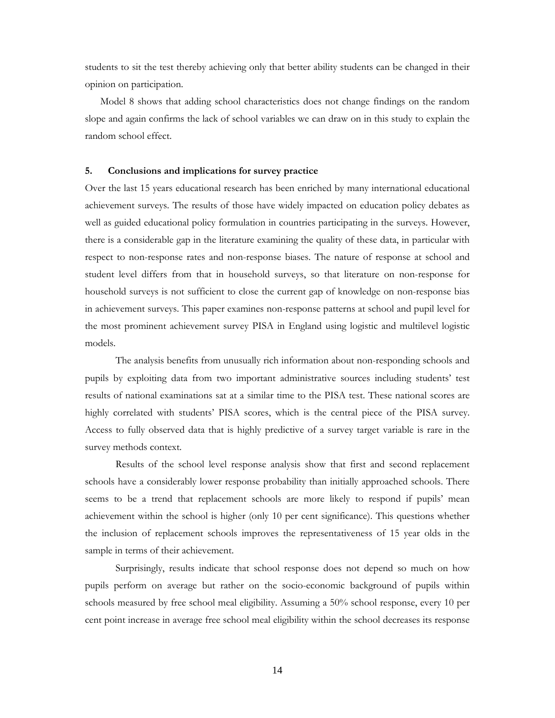students to sit the test thereby achieving only that better ability students can be changed in their opinion on participation.

Model 8 shows that adding school characteristics does not change findings on the random slope and again confirms the lack of school variables we can draw on in this study to explain the random school effect.

#### **5. Conclusions and implications for survey practice**

Over the last 15 years educational research has been enriched by many international educational achievement surveys. The results of those have widely impacted on education policy debates as well as guided educational policy formulation in countries participating in the surveys. However, there is a considerable gap in the literature examining the quality of these data, in particular with respect to non-response rates and non-response biases. The nature of response at school and student level differs from that in household surveys, so that literature on non-response for household surveys is not sufficient to close the current gap of knowledge on non-response bias in achievement surveys. This paper examines non-response patterns at school and pupil level for the most prominent achievement survey PISA in England using logistic and multilevel logistic models.

The analysis benefits from unusually rich information about non-responding schools and pupils by exploiting data from two important administrative sources including students' test results of national examinations sat at a similar time to the PISA test. These national scores are highly correlated with students' PISA scores, which is the central piece of the PISA survey. Access to fully observed data that is highly predictive of a survey target variable is rare in the survey methods context.

Results of the school level response analysis show that first and second replacement schools have a considerably lower response probability than initially approached schools. There seems to be a trend that replacement schools are more likely to respond if pupils' mean achievement within the school is higher (only 10 per cent significance). This questions whether the inclusion of replacement schools improves the representativeness of 15 year olds in the sample in terms of their achievement.

Surprisingly, results indicate that school response does not depend so much on how pupils perform on average but rather on the socio-economic background of pupils within schools measured by free school meal eligibility. Assuming a 50% school response, every 10 per cent point increase in average free school meal eligibility within the school decreases its response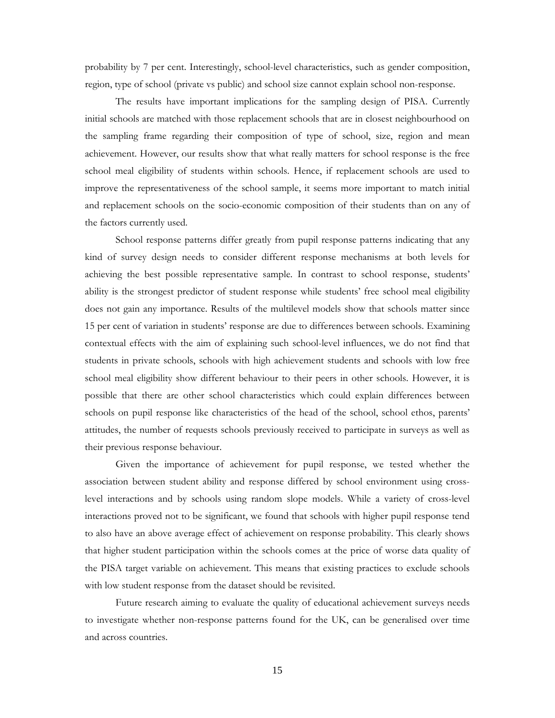probability by 7 per cent. Interestingly, school-level characteristics, such as gender composition, region, type of school (private vs public) and school size cannot explain school non-response.

The results have important implications for the sampling design of PISA. Currently initial schools are matched with those replacement schools that are in closest neighbourhood on the sampling frame regarding their composition of type of school, size, region and mean achievement. However, our results show that what really matters for school response is the free school meal eligibility of students within schools. Hence, if replacement schools are used to improve the representativeness of the school sample, it seems more important to match initial and replacement schools on the socio-economic composition of their students than on any of the factors currently used.

School response patterns differ greatly from pupil response patterns indicating that any kind of survey design needs to consider different response mechanisms at both levels for achieving the best possible representative sample. In contrast to school response, students' ability is the strongest predictor of student response while students' free school meal eligibility does not gain any importance. Results of the multilevel models show that schools matter since 15 per cent of variation in students' response are due to differences between schools. Examining contextual effects with the aim of explaining such school-level influences, we do not find that students in private schools, schools with high achievement students and schools with low free school meal eligibility show different behaviour to their peers in other schools. However, it is possible that there are other school characteristics which could explain differences between schools on pupil response like characteristics of the head of the school, school ethos, parents' attitudes, the number of requests schools previously received to participate in surveys as well as their previous response behaviour.

Given the importance of achievement for pupil response, we tested whether the association between student ability and response differed by school environment using crosslevel interactions and by schools using random slope models. While a variety of cross-level interactions proved not to be significant, we found that schools with higher pupil response tend to also have an above average effect of achievement on response probability. This clearly shows that higher student participation within the schools comes at the price of worse data quality of the PISA target variable on achievement. This means that existing practices to exclude schools with low student response from the dataset should be revisited.

Future research aiming to evaluate the quality of educational achievement surveys needs to investigate whether non-response patterns found for the UK, can be generalised over time and across countries.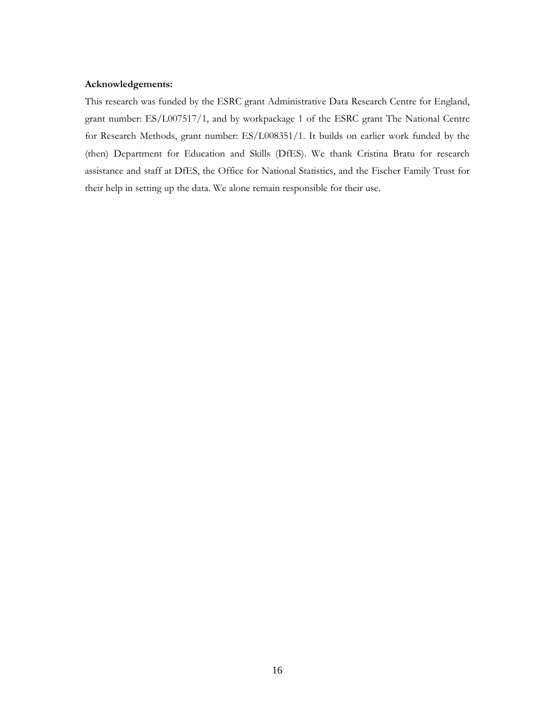#### **Acknowledgements:**

This research was funded by the ESRC grant Administrative Data Research Centre for England, grant number: ES/L007517/1, and by workpackage 1 of the ESRC grant The National Centre for Research Methods, grant number: ES/L008351/1. It builds on earlier work funded by the (then) Department for Education and Skills (DfES). We thank Cristina Bratu for research assistance and staff at DfES, the Office for National Statistics, and the Fischer Family Trust for their help in setting up the data. We alone remain responsible for their use.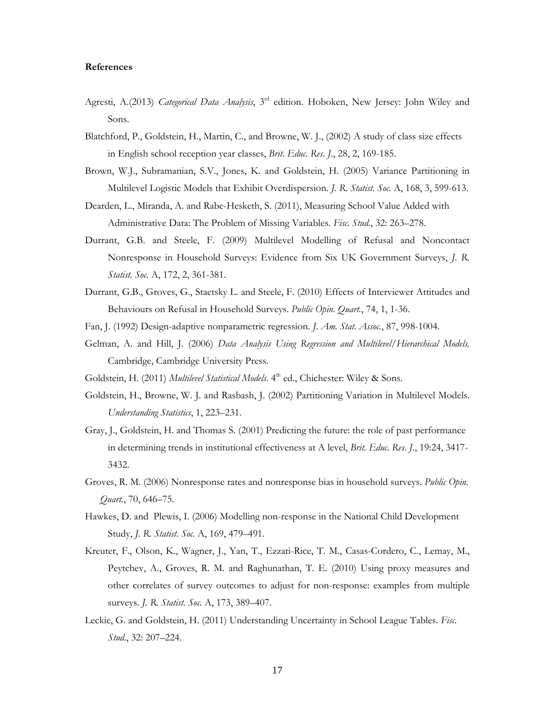#### **References**

- Agresti, A.(2013) *Categorical Data Analysis*, 3rd edition. Hoboken, New Jersey: John Wiley and Sons.
- Blatchford, P., Goldstein, H., Martin, C., and Browne, W. J., (2002) A study of class size effects in English school reception year classes, *Brit. Educ. Res. J.*, 28, 2, 169-185.
- Brown, W.J., Subramanian, S.V., Jones, K. and Goldstein, H. (2005) Variance Partitioning in Multilevel Logistic Models that Exhibit Overdispersion. *J. R. Statist. Soc.* A, 168, 3, 599-613.
- Dearden, L., Miranda, A. and Rabe-Hesketh, S. (2011), Measuring School Value Added with Administrative Data: The Problem of Missing Variables. *Fisc. Stud.*, 32: 263–278.
- Durrant, G.B. and Steele, F. (2009) Multilevel Modelling of Refusal and Noncontact Nonresponse in Household Surveys: Evidence from Six UK Government Surveys, *J. R. Statist. Soc.* A, 172, 2, 361-381.
- Durrant, G.B., Groves, G., Staetsky L. and Steele, F. (2010) Effects of Interviewer Attitudes and Behaviours on Refusal in Household Surveys. *Public Opin. Quart.*, 74, 1, 1-36.
- Fan, J. (1992) Design-adaptive nonparametric regression. *J. Am. Stat. Assoc.*, 87, 998-1004.
- Gelman, A. and Hill, J. (2006) *Data Analysis Using Regression and Multilevel/Hierarchical Models.* Cambridge, Cambridge University Press.
- Goldstein, H. (2011) *Multilevel Statistical Models*. 4<sup>th</sup> ed., Chichester: Wiley & Sons.
- Goldstein, H., Browne, W. J. and Rasbash, J. (2002) Partitioning Variation in Multilevel Models. *Understanding Statistics*, 1, 223–231.
- Gray, J., Goldstein, H. and Thomas S. (2001) Predicting the future: the role of past performance in determining trends in institutional effectiveness at A level, *Brit. Educ. Res. J*., 19:24, 3417- 3432.
- Groves, R. M. (2006) Nonresponse rates and nonresponse bias in household surveys. *Public Opin. Quart.*, 70, 646–75.
- Hawkes, D. and Plewis, I. (2006) Modelling non-response in the National Child Development Study, *J. R. Statist. Soc.* A, 169, 479–491.
- Kreuter, F., Olson, K., Wagner, J., Yan, T., Ezzati-Rice, T. M., Casas-Cordero, C., Lemay, M., Peytchev, A., Groves, R. M. and Raghunathan, T. E. (2010) Using proxy measures and other correlates of survey outcomes to adjust for non-response: examples from multiple surveys. *J. R. Statist. Soc.* A, 173, 389–407.
- Leckie, G. and Goldstein, H. (2011) Understanding Uncertainty in School League Tables. *Fisc. Stud*., 32: 207–224.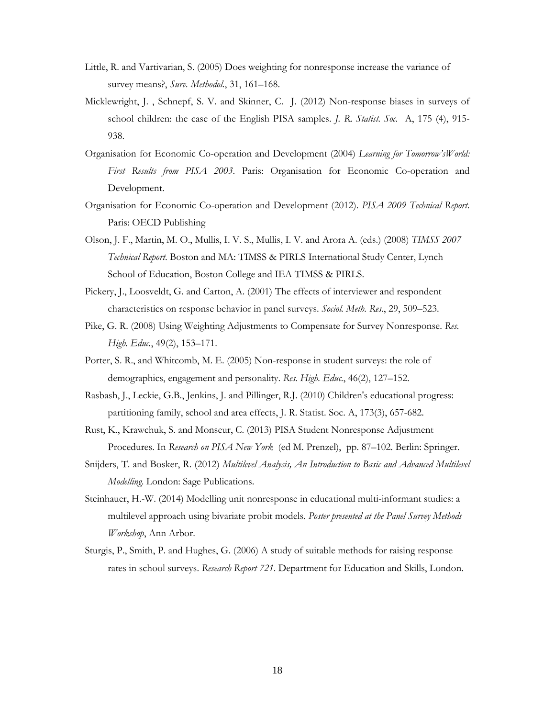- Little, R. and Vartivarian, S. (2005) Does weighting for nonresponse increase the variance of survey means?, *Surv. Methodol.*, 31, 161–168.
- Micklewright, J. , Schnepf, S. V. and Skinner, C. J. (2012) Non-response biases in surveys of school children: the case of the English PISA samples. *J. R. Statist. Soc.* A, 175 (4), 915- 938.
- Organisation for Economic Co-operation and Development (2004) *Learning for Tomorrow'sWorld: First Results from PISA 2003*. Paris: Organisation for Economic Co-operation and Development.
- Organisation for Economic Co-operation and Development (2012). *PISA 2009 Technical Report*. Paris: OECD Publishing
- Olson, J. F., Martin, M. O., Mullis, I. V. S., Mullis, I. V. and Arora A. (eds.) (2008) *TIMSS 2007 Technical Report*. Boston and MA: TIMSS & PIRLS International Study Center, Lynch School of Education, Boston College and IEA TIMSS & PIRLS.
- Pickery, J., Loosveldt, G. and Carton, A. (2001) The effects of interviewer and respondent characteristics on response behavior in panel surveys. *Sociol. Meth. Res.*, 29, 509–523.
- Pike, G. R. (2008) Using Weighting Adjustments to Compensate for Survey Nonresponse. *Res. High. Educ.*, 49(2), 153–171.
- Porter, S. R., and Whitcomb, M. E. (2005) Non-response in student surveys: the role of demographics, engagement and personality. *Res. High. Educ.*, 46(2), 127–152.
- Rasbash, J., Leckie, G.B., Jenkins, J. and Pillinger, R.J. (2010) Children's educational progress: partitioning family, school and area effects, J. R. Statist. Soc. A, 173(3), 657-682.
- Rust, K., Krawchuk, S. and Monseur, C. (2013) PISA Student Nonresponse Adjustment Procedures. In *Research on PISA New York* (ed M. Prenzel), pp. 87–102. Berlin: Springer.
- Snijders, T. and Bosker, R. (2012) *Multilevel Analysis, An Introduction to Basic and Advanced Multilevel Modelling*. London: Sage Publications.
- Steinhauer, H.-W. (2014) Modelling unit nonresponse in educational multi-informant studies: a multilevel approach using bivariate probit models. *Poster presented at the Panel Survey Methods Workshop*, Ann Arbor.
- Sturgis, P., Smith, P. and Hughes, G. (2006) A study of suitable methods for raising response rates in school surveys. *Research Report 721*. Department for Education and Skills, London.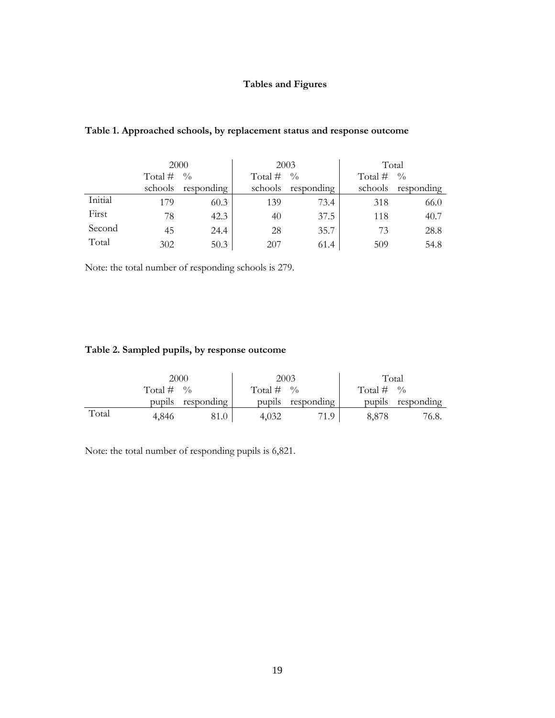### **Tables and Figures**

|         |           | 2000               |           | 2003               | Total        |                    |  |
|---------|-----------|--------------------|-----------|--------------------|--------------|--------------------|--|
|         | Total $#$ | $\frac{0}{0}$      | Total $#$ | $\frac{0}{0}$      | Total # $\%$ |                    |  |
|         |           | schools responding |           | schools responding |              | schools responding |  |
| Initial | 179       | 60.3               | 139       | 73.4               | 318          | 66.0               |  |
| First   | 78        | 42.3               | 40        | 37.5               | 118          | 40.7               |  |
| Second  | 45        | 24.4               | 28        | 35.7               | 73           | 28.8               |  |
| Total   | 302       | 50.3               | 207       | 61.4               | 509          | 54.8               |  |

### **Table 1. Approached schools, by replacement status and response outcome**

Note: the total number of responding schools is 279.

### **Table 2. Sampled pupils, by response outcome**

|       |              | 2000              |              | 2003              | Total        |                   |  |
|-------|--------------|-------------------|--------------|-------------------|--------------|-------------------|--|
|       | Total $\#$ % |                   | Total # $\%$ |                   | Total $\#$ % |                   |  |
|       |              | pupils responding |              | pupils responding |              | pupils responding |  |
| Total | 4.846        | 81.0              | 4,032        | 71.9              | 8.878        | 76.8.             |  |

Note: the total number of responding pupils is 6,821.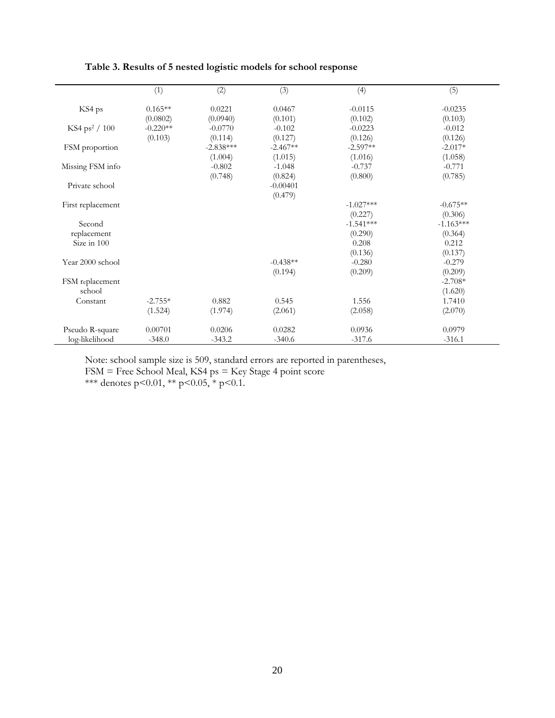|                           | (1)        | (2)         | (3)        | (4)         | (5)         |
|---------------------------|------------|-------------|------------|-------------|-------------|
| KS4 ps                    | $0.165**$  | 0.0221      | 0.0467     | $-0.0115$   | $-0.0235$   |
|                           | (0.0802)   | (0.0940)    | (0.101)    | (0.102)     | (0.103)     |
| KS4 ps <sup>2</sup> / 100 | $-0.220**$ | $-0.0770$   | $-0.102$   | $-0.0223$   | $-0.012$    |
|                           | (0.103)    | (0.114)     | (0.127)    | (0.126)     | (0.126)     |
| FSM proportion            |            | $-2.838***$ | $-2.467**$ | $-2.597**$  | $-2.017*$   |
|                           |            | (1.004)     | (1.015)    | (1.016)     | (1.058)     |
| Missing FSM info          |            | $-0.802$    | $-1.048$   | $-0.737$    | $-0.771$    |
|                           |            | (0.748)     | (0.824)    | (0.800)     | (0.785)     |
| Private school            |            |             | $-0.00401$ |             |             |
|                           |            |             | (0.479)    |             |             |
| First replacement         |            |             |            | $-1.027***$ | $-0.675**$  |
|                           |            |             |            | (0.227)     | (0.306)     |
| Second                    |            |             |            | $-1.541***$ | $-1.163***$ |
| replacement               |            |             |            | (0.290)     | (0.364)     |
| Size in 100               |            |             |            | 0.208       | 0.212       |
|                           |            |             |            | (0.136)     | (0.137)     |
| Year 2000 school          |            |             | $-0.438**$ | $-0.280$    | $-0.279$    |
|                           |            |             | (0.194)    | (0.209)     | (0.209)     |
| FSM replacement           |            |             |            |             | $-2.708*$   |
| school                    |            |             |            |             | (1.620)     |
| Constant                  | $-2.755*$  | 0.882       | 0.545      | 1.556       | 1.7410      |
|                           | (1.524)    | (1.974)     | (2.061)    | (2.058)     | (2.070)     |
| Pseudo R-square           | 0.00701    | 0.0206      | 0.0282     | 0.0936      | 0.0979      |
| log-likelihood            | $-348.0$   | $-343.2$    | $-340.6$   | $-317.6$    | $-316.1$    |

**Table 3. Results of 5 nested logistic models for school response** 

Note: school sample size is 509, standard errors are reported in parentheses,

FSM = Free School Meal, KS4 ps = Key Stage 4 point score

\*\*\* denotes  $p<0.01$ , \*\*  $p<0.05$ , \*  $p<0.1$ .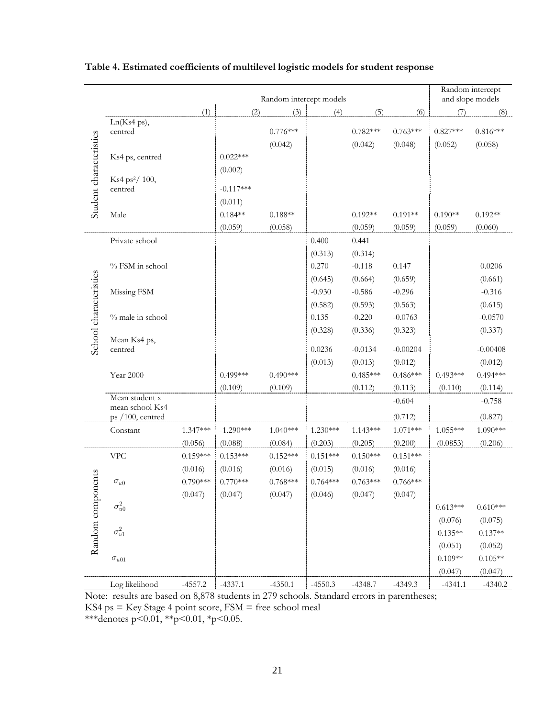|                         | Random intercept models             |            |             |            |            |            |            | Random intercept<br>and slope models |            |
|-------------------------|-------------------------------------|------------|-------------|------------|------------|------------|------------|--------------------------------------|------------|
|                         |                                     | (1)        | (2)         | (3)        | (4)        | (5)        | (6)        | (7)                                  | (8)        |
| Student characteristics | Ln(Ks4 ps),                         |            |             |            |            |            |            |                                      |            |
|                         | centred                             |            |             | $0.776***$ |            | $0.782***$ | $0.763***$ | $0.827***$                           | $0.816***$ |
|                         |                                     |            |             | (0.042)    |            | (0.042)    | (0.048)    | (0.052)                              | (0.058)    |
|                         | Ks4 ps, centred                     |            | $0.022***$  |            |            |            |            |                                      |            |
|                         | Ks4 ps <sup>2</sup> / 100,          |            | (0.002)     |            |            |            |            |                                      |            |
|                         | centred                             |            | $-0.117***$ |            |            |            |            |                                      |            |
|                         |                                     |            | (0.011)     |            |            |            |            |                                      |            |
|                         | Male                                |            | $0.184**$   | $0.188**$  |            | $0.192**$  | $0.191**$  | $0.190**$                            | $0.192**$  |
|                         |                                     |            | (0.059)     | (0.058)    |            | (0.059)    | (0.059)    | (0.059)                              | (0.060)    |
|                         | Private school                      |            |             |            | 0.400      | 0.441      |            |                                      |            |
|                         |                                     |            |             |            | (0.313)    | (0.314)    |            |                                      |            |
|                         | % FSM in school                     |            |             |            | 0.270      | $-0.118$   | 0.147      |                                      | 0.0206     |
|                         |                                     |            |             |            | (0.645)    | (0.664)    | (0.659)    |                                      | (0.661)    |
|                         | Missing FSM                         |            |             |            | $-0.930$   | $-0.586$   | $-0.296$   |                                      | $-0.316$   |
|                         |                                     |            |             |            | (0.582)    | (0.593)    | (0.563)    |                                      | (0.615)    |
|                         | % male in school                    |            |             |            | 0.135      | $-0.220$   | $-0.0763$  |                                      | $-0.0570$  |
|                         |                                     |            |             |            | (0.328)    | (0.336)    | (0.323)    |                                      | (0.337)    |
| School characteristics  | Mean Ks4 ps,<br>centred             |            |             |            | 0.0236     | $-0.0134$  | $-0.00204$ |                                      | $-0.00408$ |
|                         |                                     |            |             |            | (0.013)    | (0.013)    | (0.012)    |                                      | (0.012)    |
|                         | Year 2000                           |            | $0.499***$  | $0.490***$ |            | $0.485***$ | $0.486***$ | $0.493***$                           | $0.494***$ |
|                         |                                     |            | (0.109)     | (0.109)    |            | (0.112)    | (0.113)    | (0.110)                              | (0.114)    |
|                         | Mean student x                      |            |             |            |            |            | $-0.604$   |                                      | $-0.758$   |
|                         | mean school Ks4<br>ps /100, centred |            |             |            |            |            | (0.712)    |                                      | (0.827)    |
|                         | Constant                            | $1.347***$ | $-1.290***$ | $1.040***$ | $1.230***$ | $1.143***$ | $1.071***$ | $1.055***$                           | 1.090***   |
|                         |                                     | (0.056)    | (0.088)     | (0.084)    | (0.203)    | (0.205)    | (0.200)    | (0.0853)                             | (0.206)    |
| rents<br>Random compon  | <b>VPC</b>                          | $0.159***$ | $0.153***$  | $0.152***$ | $0.151***$ | $0.150***$ | $0.151***$ |                                      |            |
|                         |                                     | (0.016)    | (0.016)     | (0.016)    | (0.015)    | (0.016)    | (0.016)    |                                      |            |
|                         | $\sigma_{u0}$                       | $0.790***$ | $0.770***$  | $0.768***$ | $0.764***$ | $0.763***$ | $0.766***$ |                                      |            |
|                         |                                     | (0.047)    | (0.047)     | (0.047)    | (0.046)    | (0.047)    | (0.047)    |                                      |            |
|                         | $\sigma^2_{u0}$                     |            |             |            |            |            |            | $0.613***$                           | $0.610***$ |
|                         |                                     |            |             |            |            |            |            | (0.076)                              | (0.075)    |
|                         | $\sigma_{u1}^2$                     |            |             |            |            |            |            | $0.135**$                            | $0.137**$  |
|                         |                                     |            |             |            |            |            |            | (0.051)                              | (0.052)    |
|                         | $\sigma_{u01}$                      |            |             |            |            |            |            | $0.109**$                            | $0.105**$  |
|                         |                                     |            |             |            |            |            |            | (0.047)                              | (0.047)    |
|                         | Log likelihood                      | $-4557.2$  | $-4337.1$   | $-4350.1$  | $-4550.3$  | $-4348.7$  | $-4349.3$  | $-4341.1$                            | $-4340.2$  |

### **Table 4. Estimated coefficients of multilevel logistic models for student response**

Note: results are based on 8,878 students in 279 schools. Standard errors in parentheses;

 $KS4$  ps =  $Key Stage 4 point score, FSM = free school meal$ 

\*\*\*denotes p<0.01, \*\*p<0.01, \*p<0.05.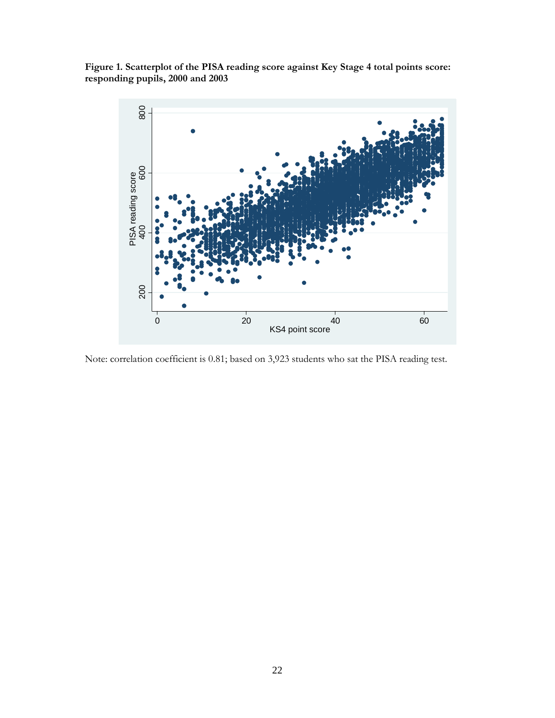**Figure 1. Scatterplot of the PISA reading score against Key Stage 4 total points score: responding pupils, 2000 and 2003** 



Note: correlation coefficient is 0.81; based on 3,923 students who sat the PISA reading test.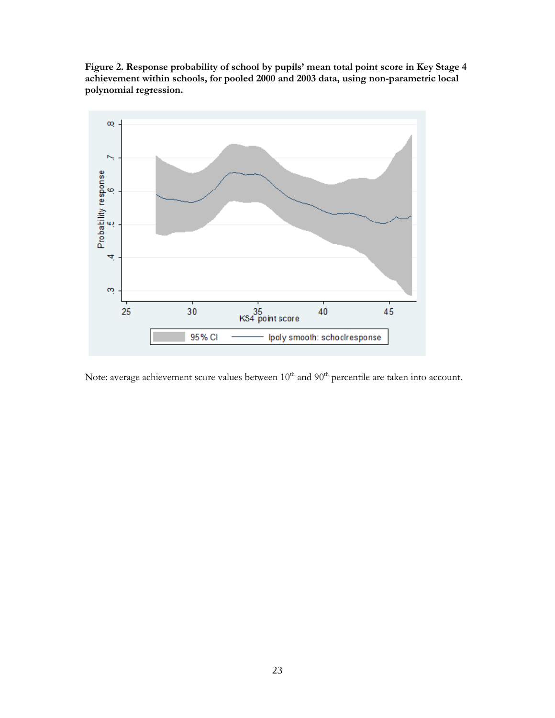**Figure 2. Response probability of school by pupils' mean total point score in Key Stage 4 achievement within schools, for pooled 2000 and 2003 data, using non-parametric local polynomial regression.** 



Note: average achievement score values between  $10^{th}$  and  $90^{th}$  percentile are taken into account.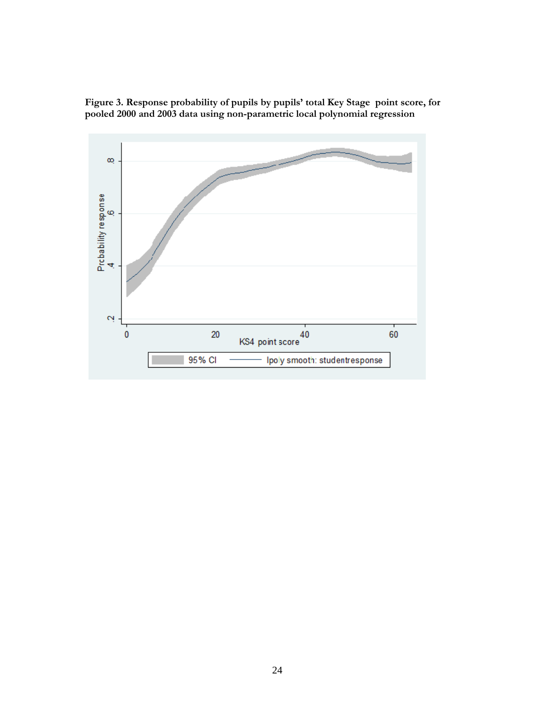

**Figure 3. Response probability of pupils by pupils' total Key Stage point score, for pooled 2000 and 2003 data using non-parametric local polynomial regression**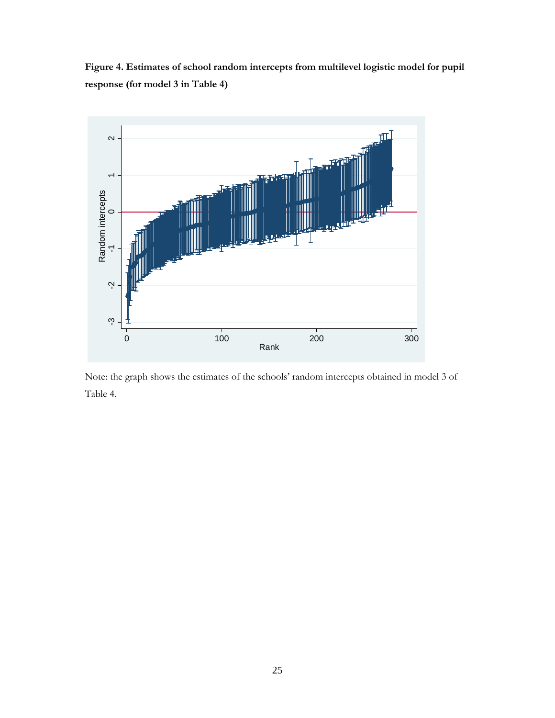**Figure 4. Estimates of school random intercepts from multilevel logistic model for pupil response (for model 3 in Table 4)** 



Note: the graph shows the estimates of the schools' random intercepts obtained in model 3 of Table 4.